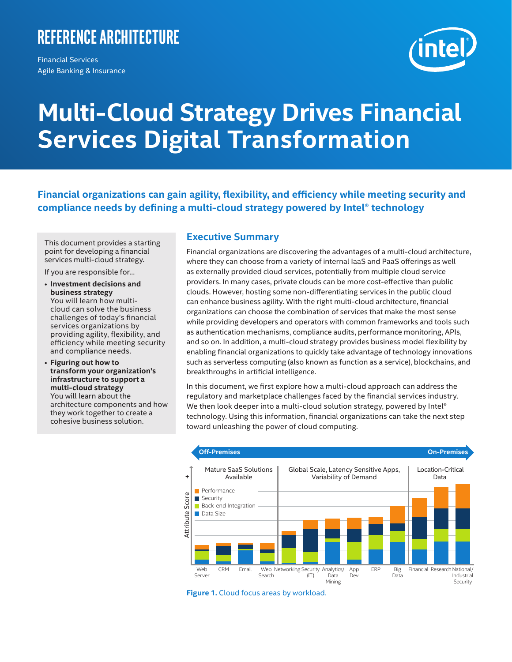## <span id="page-0-0"></span>**Reference Architecture**

Financial Services Agile Banking & Insurance

# **Multi-Cloud Strategy Drives Financial Services Digital Transformation**

**Financial organizations can gain agility, flexibility, and efficiency while meeting security and compliance needs by defining a multi-cloud strategy powered by Intel® technology**

This document provides a starting point for developing a financial services multi-cloud strategy.

If you are responsible for…

- **Investment decisions and business strategy** You will learn how multicloud can solve the business challenges of today's financial services organizations by providing agility, flexibility, and efficiency while meeting security and compliance needs.
- **Figuring out how to transform your organization's infrastructure to support a multi-cloud strategy** You will learn about the architecture components and how they work together to create a cohesive business solution.

### **Executive Summary**

Financial organizations are discovering the advantages of a multi-cloud architecture, where they can choose from a variety of internal IaaS and PaaS offerings as well as externally provided cloud services, potentially from multiple cloud service providers. In many cases, private clouds can be more cost-effective than public clouds. However, hosting some non-differentiating services in the public cloud can enhance business agility. With the right multi-cloud architecture, financial organizations can choose the combination of services that make the most sense while providing developers and operators with common frameworks and tools such as authentication mechanisms, compliance audits, performance monitoring, APIs, and so on. In addition, a multi-cloud strategy provides business model flexibility by enabling financial organizations to quickly take advantage of technology innovations such as serverless computing (also known as function as a service), blockchains, and breakthroughs in artificial intelligence.

In this document, we first explore how a multi-cloud approach can address the regulatory and marketplace challenges faced by the financial services industry. We then look deeper into a multi-cloud solution strategy, powered by Intel® technology. Using this information, financial organizations can take the next step toward unleashing the power of cloud computing.



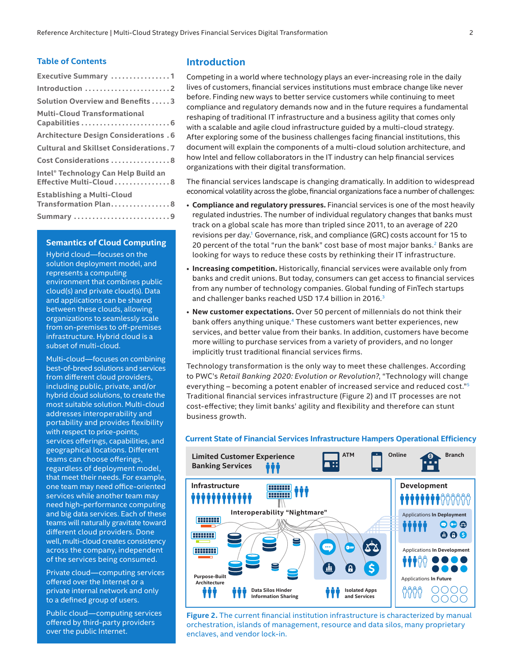#### **Table of Contents**

| Executive Summary 1                                            |
|----------------------------------------------------------------|
| Introduction 2                                                 |
| <b>Solution Overview and Benefits 3</b>                        |
| <b>Multi-Cloud Transformational</b><br>Capabilities  6         |
| <b>Architecture Design Considerations . 6</b>                  |
| <b>Cultural and Skillset Considerations. 7</b>                 |
| Cost Considerations  8                                         |
| Intel® Technology Can Help Build an<br>Effective Multi-Cloud 8 |
| <b>Establishing a Multi-Cloud</b><br>Transformation Plan8      |
| Summary 9                                                      |

#### **Semantics of Cloud Computing**

Hybrid cloud—focuses on the solution deployment model, and represents a computing environment that combines public cloud(s) and private cloud(s). Data and applications can be shared between these clouds, allowing organizations to seamlessly scale from on-premises to off-premises infrastructure. Hybrid cloud is a subset of multi-cloud.

Multi-cloud—focuses on combining best-of-breed solutions and services from different cloud providers, including public, private, and/or hybrid cloud solutions, to create the most suitable solution. Multi-cloud addresses interoperability and portability and provides flexibility with respect to price-points, services offerings, capabilities, and geographical locations. Different teams can choose offerings, regardless of deployment model, that meet their needs. For example, one team may need office-oriented services while another team may need high-performance computing and big data services. Each of these teams will naturally gravitate toward different cloud providers. Done well, multi-cloud creates consistency across the company, independent of the services being consumed.

Private cloud—computing services offered over the Internet or a private internal network and only to a defined group of users.

Public cloud—computing services offered by third-party providers over the public Internet.

#### **Introduction**

Competing in a world where technology plays an ever-increasing role in the daily lives of customers, financial services institutions must embrace change like never before. Finding new ways to better service customers while continuing to meet compliance and regulatory demands now and in the future requires a fundamental reshaping of traditional IT infrastructure and a business agility that comes only with a scalable and agile cloud infrastructure guided by a multi-cloud strategy. After exploring some of the business challenges facing financial institutions, this document will explain the components of a multi-cloud solution architecture, and how Intel and fellow collaborators in the IT industry can help financial services organizations with their digital transformation.

The financial services landscape is changing dramatically. In addition to widespread economical volatility across the globe, financial organizations face a number of challenges:

- **Compliance and regulatory pressures.** Financial services is one of the most heavily regulated industries. The number of individual regulatory changes that banks must track on a global scale has more than tripled since 2011, to an average of 220 revisions per day.<sup>1</sup> Governance, risk, and compliance (GRC) costs account for 15 to 20 percent of the total "run the bank" cost base of most major banks.<sup>2</sup> Banks are looking for ways to reduce these costs by rethinking their IT infrastructure.
- **Increasing competition.** Historically, financial services were available only from banks and credit unions. But today, consumers can get access to financial services from any number of technology companies. Global funding of FinTech startups and challenger banks reached USD 17.4 billion in 2016.<sup>3</sup>
- **New customer expectations.** Over 50 percent of millennials do not think their bank offers anything unique.<sup>4</sup> These customers want better experiences, new services, and better value from their banks. In addition, customers have become more willing to purchase services from a variety of providers, and no longer implicitly trust traditional financial services firms.

Technology transformation is the only way to meet these challenges. According to PWC's *Retail Banking 2020: Evolution or Revolution?*, "Technology will change everything – becoming a potent enabler of increased service and reduced cost."5 Traditional financial services infrastructure (Figure 2) and IT processes are not cost-effective; they limit banks' agility and flexibility and therefore can stunt business growth.

#### **Current State of Financial Services Infrastructure Hampers Operational Efficiency**



**Figure 2.** The current financial institution infrastructure is characterized by manual orchestration, islands of management, resource and data silos, many proprietary enclaves, and vendor lock-in.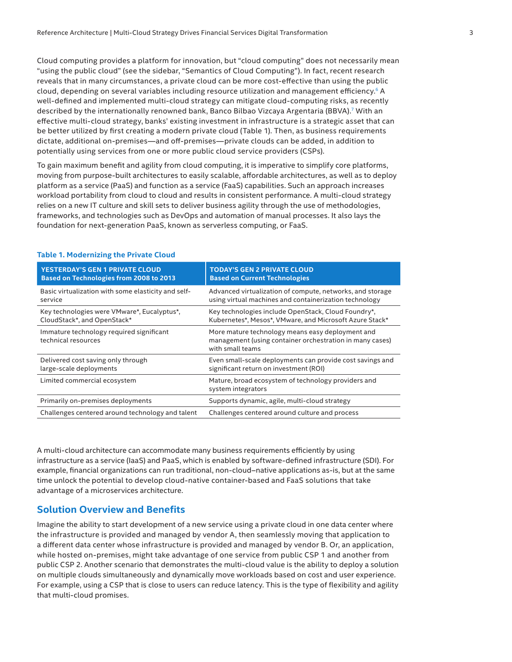<span id="page-2-0"></span>Cloud computing provides a platform for innovation, but "cloud computing" does not necessarily mean "using the public cloud" (see the sidebar, "Semantics of Cloud Computing"). In fact, recent research reveals that in many circumstances, a private cloud can be more cost-effective than using the public cloud, depending on several variables including resource utilization and management efficiency.<sup>6</sup> A well-defined and implemented multi-cloud strategy can mitigate cloud-computing risks, as recently described by the internationally renowned bank, Banco Bilbao Vizcaya Argentaria (BBVA).<sup>7</sup> With an effective multi-cloud strategy, banks' existing investment in infrastructure is a strategic asset that can be better utilized by first creating a modern private cloud (Table 1). Then, as business requirements dictate, additional on-premises—and off-premises—private clouds can be added, in addition to potentially using services from one or more public cloud service providers (CSPs).

To gain maximum benefit and agility from cloud computing, it is imperative to simplify core platforms, moving from purpose-built architectures to easily scalable, affordable architectures, as well as to deploy platform as a service (PaaS) and function as a service (FaaS) capabilities. Such an approach increases workload portability from cloud to cloud and results in consistent performance. A multi-cloud strategy relies on a new IT culture and skill sets to deliver business agility through the use of methodologies, frameworks, and technologies such as DevOps and automation of manual processes. It also lays the foundation for next-generation PaaS, known as serverless computing, or FaaS.

| <b>YESTERDAY'S GEN 1 PRIVATE CLOUD</b>                          | <b>TODAY'S GEN 2 PRIVATE CLOUD</b>                                                                                               |
|-----------------------------------------------------------------|----------------------------------------------------------------------------------------------------------------------------------|
| <b>Based on Technologies from 2008 to 2013</b>                  | <b>Based on Current Technologies</b>                                                                                             |
| Basic virtualization with some elasticity and self-             | Advanced virtualization of compute, networks, and storage                                                                        |
| service                                                         | using virtual machines and containerization technology                                                                           |
| Key technologies were VMware*, Eucalyptus*,                     | Key technologies include OpenStack, Cloud Foundry*,                                                                              |
| CloudStack*, and OpenStack*                                     | Kubernetes*, Mesos*, VMware, and Microsoft Azure Stack*                                                                          |
| Immature technology required significant<br>technical resources | More mature technology means easy deployment and<br>management (using container orchestration in many cases)<br>with small teams |
| Delivered cost saving only through                              | Even small-scale deployments can provide cost savings and                                                                        |
| large-scale deployments                                         | significant return on investment (ROI)                                                                                           |
| Limited commercial ecosystem                                    | Mature, broad ecosystem of technology providers and<br>system integrators                                                        |
| Primarily on-premises deployments                               | Supports dynamic, agile, multi-cloud strategy                                                                                    |
| Challenges centered around technology and talent                | Challenges centered around culture and process                                                                                   |

#### **Table 1. Modernizing the Private Cloud**

A multi-cloud architecture can accommodate many business requirements efficiently by using infrastructure as a service (IaaS) and PaaS, which is enabled by software-defined infrastructure (SDI). For example, financial organizations can run traditional, non-cloud–native applications as-is, but at the same time unlock the potential to develop cloud-native container-based and FaaS solutions that take advantage of a microservices architecture.

#### **Solution Overview and Benefits**

Imagine the ability to start development of a new service using a private cloud in one data center where the infrastructure is provided and managed by vendor A, then seamlessly moving that application to a different data center whose infrastructure is provided and managed by vendor B. Or, an application, while hosted on-premises, might take advantage of one service from public CSP 1 and another from public CSP 2. Another scenario that demonstrates the multi-cloud value is the ability to deploy a solution on multiple clouds simultaneously and dynamically move workloads based on cost and user experience. For example, using a CSP that is close to users can reduce latency. This is the type of flexibility and agility that multi-cloud promises.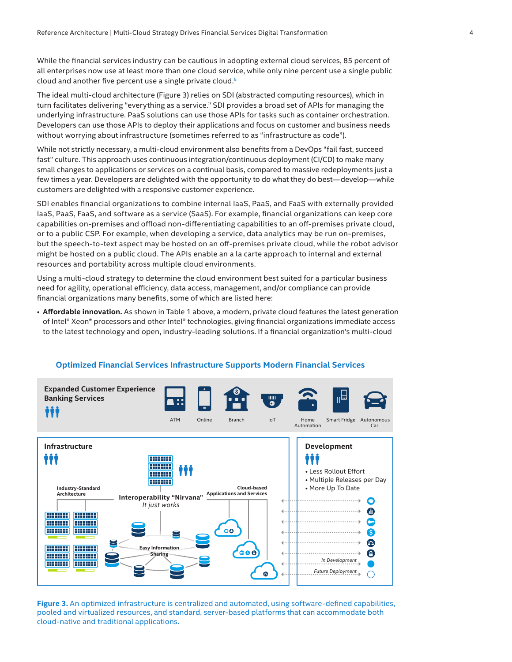While the financial services industry can be cautious in adopting external cloud services, 85 percent of all enterprises now use at least more than one cloud service, while only nine percent use a single public cloud and another five percent use a single private cloud.[8](#page-8-1)

The ideal multi-cloud architecture (Figure 3) relies on SDI (abstracted computing resources), which in turn facilitates delivering "everything as a service." SDI provides a broad set of APIs for managing the underlying infrastructure. PaaS solutions can use those APIs for tasks such as container orchestration. Developers can use those APIs to deploy their applications and focus on customer and business needs without worrying about infrastructure (sometimes referred to as "infrastructure as code").

While not strictly necessary, a multi-cloud environment also benefits from a DevOps "fail fast, succeed fast" culture. This approach uses continuous integration/continuous deployment (CI/CD) to make many small changes to applications or services on a continual basis, compared to massive redeployments just a few times a year. Developers are delighted with the opportunity to do what they do best—develop—while customers are delighted with a responsive customer experience.

SDI enables financial organizations to combine internal IaaS, PaaS, and FaaS with externally provided IaaS, PaaS, FaaS, and software as a service (SaaS). For example, financial organizations can keep core capabilities on-premises and offload non-differentiating capabilities to an off-premises private cloud, or to a public CSP. For example, when developing a service, data analytics may be run on-premises, but the speech-to-text aspect may be hosted on an off-premises private cloud, while the robot advisor might be hosted on a public cloud. The APIs enable an a la carte approach to internal and external resources and portability across multiple cloud environments.

Using a multi-cloud strategy to determine the cloud environment best suited for a particular business need for agility, operational efficiency, data access, management, and/or compliance can provide financial organizations many benefits, some of which are listed here:

• **Affordable innovation.** As shown in Table 1 above, a modern, private cloud features the latest generation of Intel® Xeon® processors and other Intel® technologies, giving financial organizations immediate access to the latest technology and open, industry-leading solutions. If a financial organization's multi-cloud



#### **Optimized Financial Services Infrastructure Supports Modern Financial Services**

**Figure 3.** An optimized infrastructure is centralized and automated, using software-defined capabilities, pooled and virtualized resources, and standard, server-based platforms that can accommodate both cloud-native and traditional applications.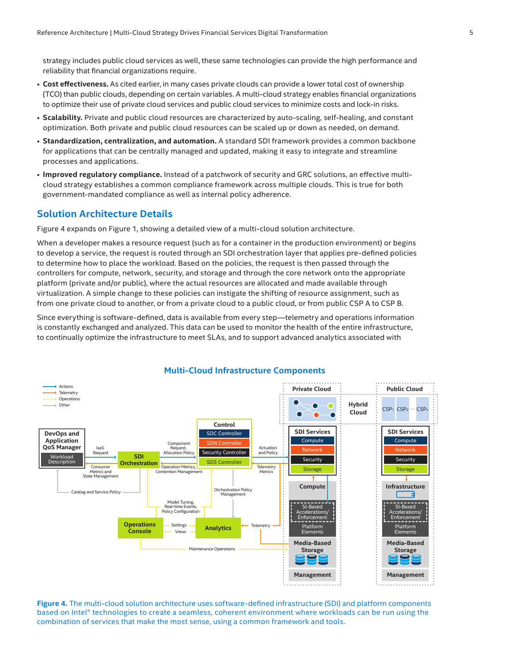strategy includes public cloud services as well, these same technologies can provide the high performance and reliability that financial organizations require.

- **Cost effectiveness.** As cited earlier, in many cases private clouds can provide a lower total cost of ownership (TCO) than public clouds, depending on certain variables. A multi-cloud strategy enables financial organizations to optimize their use of private cloud services and public cloud services to minimize costs and lock-in risks.
- **Scalability.** Private and public cloud resources are characterized by auto-scaling, self-healing, and constant optimization. Both private and public cloud resources can be scaled up or down as needed, on demand.
- **Standardization, centralization, and automation.** A standard SDI framework provides a common backbone for applications that can be centrally managed and updated, making it easy to integrate and streamline processes and applications.
- **Improved regulatory compliance.** Instead of a patchwork of security and GRC solutions, an effective multicloud strategy establishes a common compliance framework across multiple clouds. This is true for both government-mandated compliance as well as internal policy adherence.

#### **Solution Architecture Details**

Figure 4 expands on Figure 1, showing a detailed view of a multi-cloud solution architecture.

When a developer makes a resource request (such as for a container in the production environment) or begins to develop a service, the request is routed through an SDI orchestration layer that applies pre-defined policies to determine how to place the workload. Based on the policies, the request is then passed through the controllers for compute, network, security, and storage and through the core network onto the appropriate platform (private and/or public), where the actual resources are allocated and made available through virtualization. A simple change to these policies can instigate the shifting of resource assignment, such as from one private cloud to another, or from a private cloud to a public cloud, or from public CSP A to CSP B.

Since everything is software-defined, data is available from every step—telemetry and operations information is constantly exchanged and analyzed. This data can be used to monitor the health of the entire infrastructure, to continually optimize the infrastructure to meet SLAs, and to support advanced analytics associated with



#### **Figure 4.** The multi-cloud solution architecture uses software-defined infrastructure (SDI) and platform components based on Intel® technologies to create a seamless, coherent environment where workloads can be run using the combination of services that make the most sense, using a common framework and tools.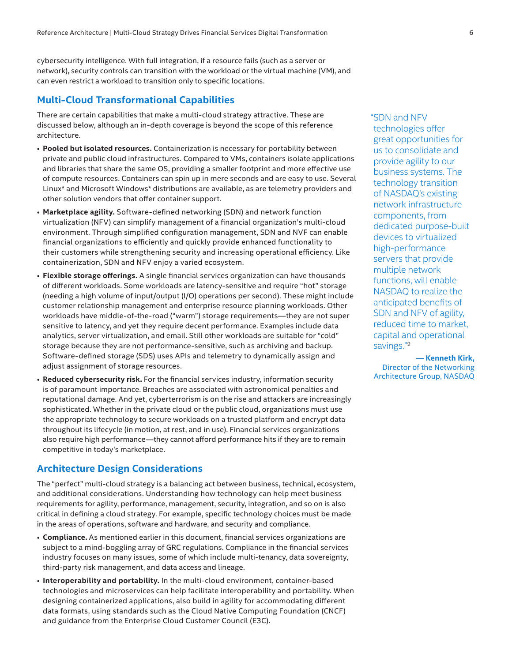<span id="page-5-0"></span>cybersecurity intelligence. With full integration, if a resource fails (such as a server or network), security controls can transition with the workload or the virtual machine (VM), and can even restrict a workload to transition only to specific locations.

#### **Multi-Cloud Transformational Capabilities**

There are certain capabilities that make a multi-cloud strategy attractive. These are discussed below, although an in-depth coverage is beyond the scope of this reference architecture.

- **Pooled but isolated resources.** Containerization is necessary for portability between private and public cloud infrastructures. Compared to VMs, containers isolate applications and libraries that share the same OS, providing a smaller footprint and more effective use of compute resources. Containers can spin up in mere seconds and are easy to use. Several Linux\* and Microsoft Windows\* distributions are available, as are telemetry providers and other solution vendors that offer container support.
- **Marketplace agility.** Software-defined networking (SDN) and network function virtualization (NFV) can simplify management of a financial organization's multi-cloud environment. Through simplified configuration management, SDN and NVF can enable financial organizations to efficiently and quickly provide enhanced functionality to their customers while strengthening security and increasing operational efficiency. Like containerization, SDN and NFV enjoy a varied ecosystem.
- **Flexible storage offerings.** A single financial services organization can have thousands of different workloads. Some workloads are latency-sensitive and require "hot" storage (needing a high volume of input/output (I/O) operations per second). These might include customer relationship management and enterprise resource planning workloads. Other workloads have middle-of-the-road ("warm") storage requirements—they are not super sensitive to latency, and yet they require decent performance. Examples include data analytics, server virtualization, and email. Still other workloads are suitable for "cold" storage because they are not performance-sensitive, such as archiving and backup. Software-defined storage (SDS) uses APIs and telemetry to dynamically assign and adjust assignment of storage resources.
- **Reduced cybersecurity risk.** For the financial services industry, information security is of paramount importance. Breaches are associated with astronomical penalties and reputational damage. And yet, cyberterrorism is on the rise and attackers are increasingly sophisticated. Whether in the private cloud or the public cloud, organizations must use the appropriate technology to secure workloads on a trusted platform and encrypt data throughout its lifecycle (in motion, at rest, and in use). Financial services organizations also require high performance—they cannot afford performance hits if they are to remain competitive in today's marketplace.

#### **Architecture Design Considerations**

The "perfect" multi-cloud strategy is a balancing act between business, technical, ecosystem, and additional considerations. Understanding how technology can help meet business requirements for agility, performance, management, security, integration, and so on is also critical in defining a cloud strategy. For example, specific technology choices must be made in the areas of operations, software and hardware, and security and compliance.

- **Compliance.** As mentioned earlier in this document, financial services organizations are subject to a mind-boggling array of GRC regulations. Compliance in the financial services industry focuses on many issues, some of which include multi-tenancy, data sovereignty, third-party risk management, and data access and lineage.
- **Interoperability and portability.** In the multi-cloud environment, container-based technologies and microservices can help facilitate interoperability and portability. When designing containerized applications, also build in agility for accommodating different data formats, using standards such as the Cloud Native Computing Foundation (CNCF) and guidance from the Enterprise Cloud Customer Council (E3C).

"SDN and NFV technologies offer great opportunities for us to consolidate and provide agility to our business systems. The technology transition of NASDAQ's existing network infrastructure components, from dedicated purpose-built devices to virtualized high-performance servers that provide multiple network functions, will enable NASDAQ to realize the anticipated benefits of SDN and NFV of agility, reduced time to market, capital and operational savings."[9](#page-8-2)

**— Kenneth Kirk,**  Director of the Networking Architecture Group, NASDAQ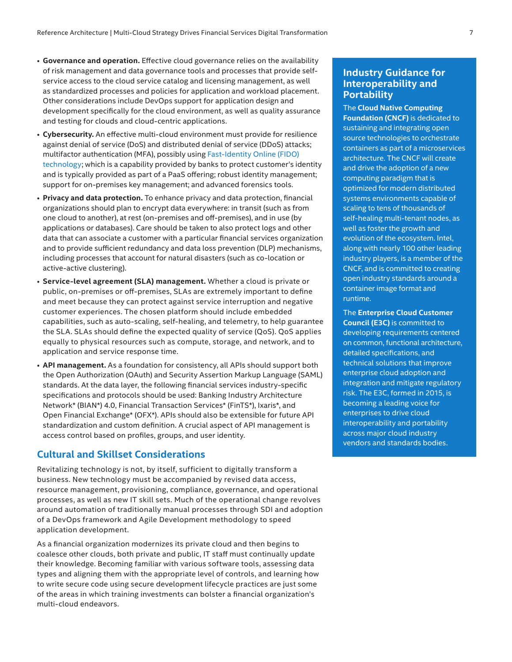- <span id="page-6-0"></span>• **Governance and operation.** Effective cloud governance relies on the availability of risk management and data governance tools and processes that provide selfservice access to the cloud service catalog and licensing management, as well as standardized processes and policies for application and workload placement. Other considerations include DevOps support for application design and development specifically for the cloud environment, as well as quality assurance and testing for clouds and cloud-centric applications.
- **Cybersecurity.** An effective multi-cloud environment must provide for resilience against denial of service (DoS) and distributed denial of service (DDoS) attacks; multifactor authentication (MFA), possibly using [Fast-Identity Online \(FIDO\)](https://fidoalliance.org/)  [technology](https://fidoalliance.org/); which is a capability provided by banks to protect customer's identity and is typically provided as part of a PaaS offering; robust identity management; support for on-premises key management; and advanced forensics tools.
- **Privacy and data protection.** To enhance privacy and data protection, financial organizations should plan to encrypt data everywhere: in transit (such as from one cloud to another), at rest (on-premises and off-premises), and in use (by applications or databases). Care should be taken to also protect logs and other data that can associate a customer with a particular financial services organization and to provide sufficient redundancy and data loss prevention (DLP) mechanisms, including processes that account for natural disasters (such as co-location or active-active clustering).
- **Service-level agreement (SLA) management.** Whether a cloud is private or public, on-premises or off-premises, SLAs are extremely important to define and meet because they can protect against service interruption and negative customer experiences. The chosen platform should include embedded capabilities, such as auto-scaling, self-healing, and telemetry, to help guarantee the SLA. SLAs should define the expected quality of service (QoS). QoS applies equally to physical resources such as compute, storage, and network, and to application and service response time.
- **API management.** As a foundation for consistency, all APIs should support both the Open Authorization (OAuth) and Security Assertion Markup Language (SAML) standards. At the data layer, the following financial services industry-specific specifications and protocols should be used: Banking Industry Architecture Network\* (BIAN\*) 4.0, Financial Transaction Services\* (FinTS\*), Ixaris\*, and Open Financial Exchange\* (OFX\*). APIs should also be extensible for future API standardization and custom definition. A crucial aspect of API management is access control based on profiles, groups, and user identity.

#### **Cultural and Skillset Considerations**

Revitalizing technology is not, by itself, sufficient to digitally transform a business. New technology must be accompanied by revised data access, resource management, provisioning, compliance, governance, and operational processes, as well as new IT skill sets. Much of the operational change revolves around automation of traditionally manual processes through SDI and adoption of a DevOps framework and Agile Development methodology to speed application development.

As a financial organization modernizes its private cloud and then begins to coalesce other clouds, both private and public, IT staff must continually update their knowledge. Becoming familiar with various software tools, assessing data types and aligning them with the appropriate level of controls, and learning how to write secure code using secure development lifecycle practices are just some of the areas in which training investments can bolster a financial organization's multi-cloud endeavors.

#### **Industry Guidance for Interoperability and Portability**

The **[Cloud Native Computing](https://www.cncf.io/)  [Foundation \(CNCF\)](https://www.cncf.io/)** is dedicated to sustaining and integrating open source technologies to orchestrate containers as part of a microservices architecture. The CNCF will create and drive the adoption of a new computing paradigm that is optimized for modern distributed systems environments capable of scaling to tens of thousands of self-healing multi-tenant nodes, as well as foster the growth and evolution of the ecosystem. Intel, along with nearly 100 other leading industry players, is a member of the CNCF, and is committed to creating open industry standards around a container image format and runtime.

The **[Enterprise Cloud Customer](https://www.enterprisecloudcustomercouncil.com/)  [Council \(E3C\)](https://www.enterprisecloudcustomercouncil.com/)** is committed to developing requirements centered on common, functional architecture, detailed specifications, and technical solutions that improve enterprise cloud adoption and integration and mitigate regulatory risk. The E3C, formed in 2015, is becoming a leading voice for enterprises to drive cloud interoperability and portability across major cloud industry vendors and standards bodies.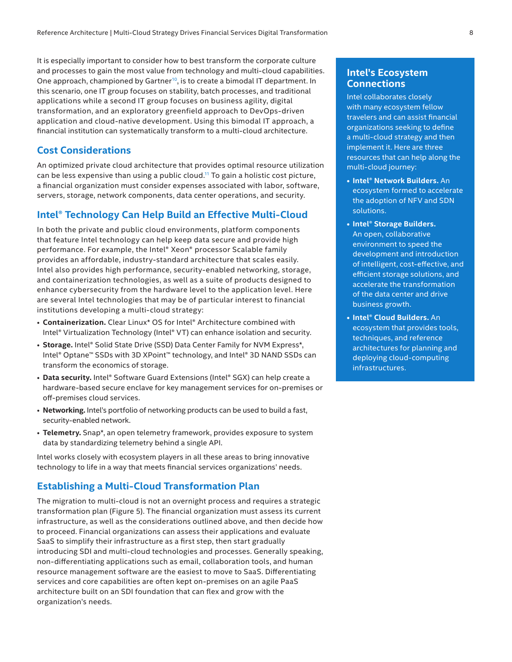<span id="page-7-0"></span>It is especially important to consider how to best transform the corporate culture and processes to gain the most value from technology and multi-cloud capabilities. One approach, championed by Gartner<sup>10</sup>, is to create a bimodal IT department. In this scenario, one IT group focuses on stability, batch processes, and traditional applications while a second IT group focuses on business agility, digital transformation, and an exploratory greenfield approach to DevOps-driven application and cloud-native development. Using this bimodal IT approach, a financial institution can systematically transform to a multi-cloud architecture.

#### **Cost Considerations**

An optimized private cloud architecture that provides optimal resource utilization can be less expensive than using a public cloud.<sup>11</sup> To gain a holistic cost picture, a financial organization must consider expenses associated with labor, software, servers, storage, network components, data center operations, and security.

#### **Intel® Technology Can Help Build an Effective Multi-Cloud**

In both the private and public cloud environments, platform components that feature Intel technology can help keep data secure and provide high performance. For example, the Intel® Xeon® processor Scalable family provides an affordable, industry-standard architecture that scales easily. Intel also provides high performance, security-enabled networking, storage, and containerization technologies, as well as a suite of products designed to enhance cybersecurity from the hardware level to the application level. Here are several Intel technologies that may be of particular interest to financial institutions developing a multi-cloud strategy:

- **Containerization.** Clear Linux\* OS for Intel® Architecture combined with Intel® Virtualization Technology (Intel® VT) can enhance isolation and security.
- **Storage.** Intel® Solid State Drive (SSD) Data Center Family for NVM Express\*, Intel® Optane™ SSDs with 3D XPoint™ technology, and Intel® 3D NAND SSDs can transform the economics of storage.
- **Data security.** Intel® Software Guard Extensions (Intel® SGX) can help create a hardware-based secure enclave for key management services for on-premises or off-premises cloud services.
- **Networking.** Intel's portfolio of networking products can be used to build a fast, security-enabled network.
- **Telemetry.** Snap\*, an open telemetry framework, provides exposure to system data by standardizing telemetry behind a single API.

Intel works closely with ecosystem players in all these areas to bring innovative technology to life in a way that meets financial services organizations' needs.

#### **Establishing a Multi-Cloud Transformation Plan**

The migration to multi-cloud is not an overnight process and requires a strategic transformation plan (Figure 5). The financial organization must assess its current infrastructure, as well as the considerations outlined above, and then decide how to proceed. Financial organizations can assess their applications and evaluate SaaS to simplify their infrastructure as a first step, then start gradually introducing SDI and multi-cloud technologies and processes. Generally speaking, non-differentiating applications such as email, collaboration tools, and human resource management software are the easiest to move to SaaS. Differentiating services and core capabilities are often kept on-premises on an agile PaaS architecture built on an SDI foundation that can flex and grow with the organization's needs.

#### **Intel's Ecosystem Connections**

Intel collaborates closely with many ecosystem fellow travelers and can assist financial organizations seeking to define a multi-cloud strategy and then implement it. Here are three resources that can help along the multi-cloud journey:

- **• [Intel® Network Builders.](https://networkbuilders.intel.com)** An ecosystem formed to accelerate the adoption of NFV and SDN solutions.
- **• [Intel® Storage Builders.](https://storagebuilders.intel.com)** An open, collaborative environment to speed the development and introduction of intelligent, cost-effective, and efficient storage solutions, and accelerate the transformation of the data center and drive business growth.
- **• [Intel® Cloud Builders.](https://cloudbuilders.intel.com)** An ecosystem that provides tools, techniques, and reference architectures for planning and deploying cloud-computing infrastructures.